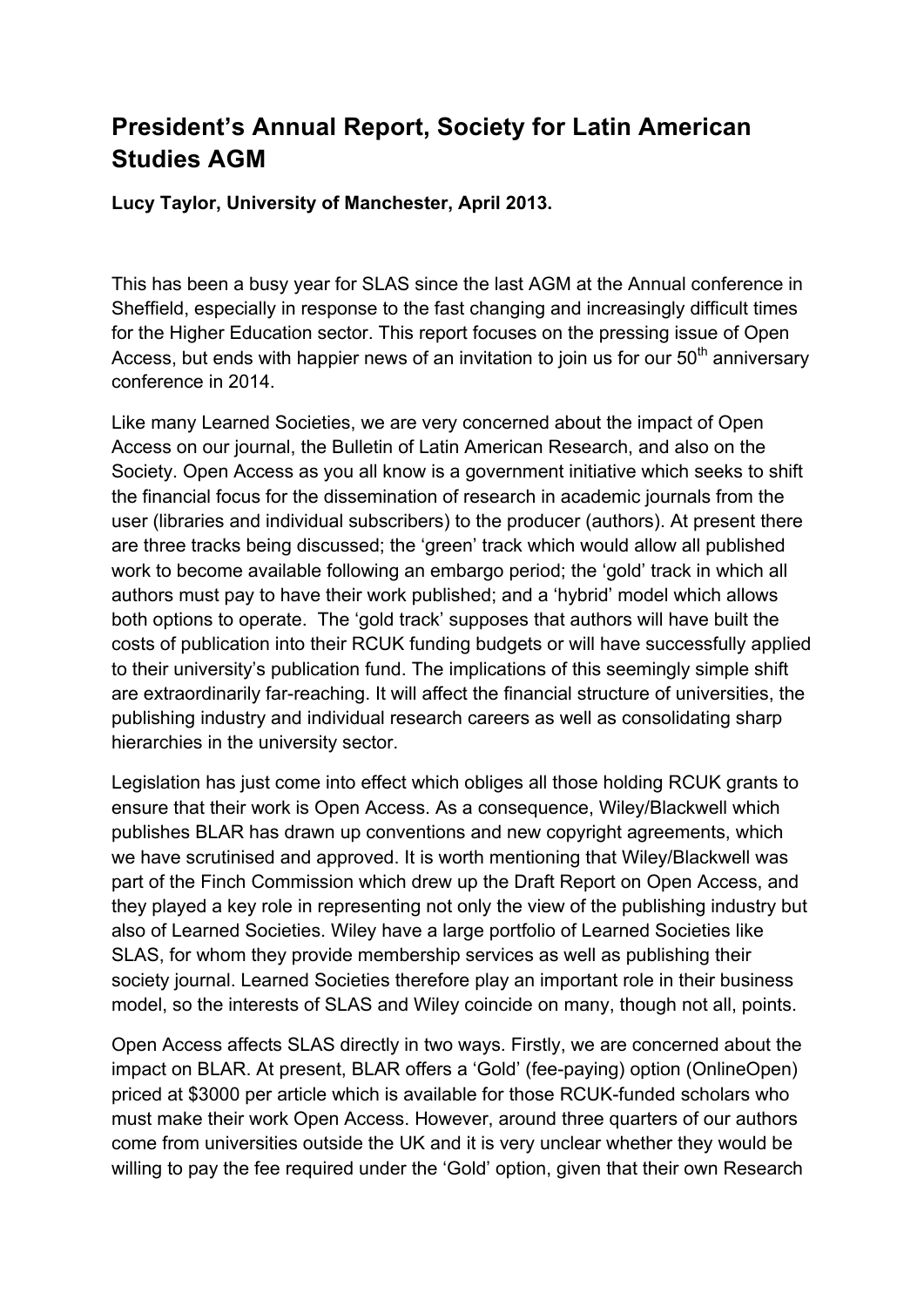## **President's Annual Report, Society for Latin American Studies AGM**

**Lucy Taylor, University of Manchester, April 2013.** 

This has been a busy year for SLAS since the last AGM at the Annual conference in Sheffield, especially in response to the fast changing and increasingly difficult times for the Higher Education sector. This report focuses on the pressing issue of Open Access, but ends with happier news of an invitation to join us for our  $50<sup>th</sup>$  anniversary conference in 2014.

Like many Learned Societies, we are very concerned about the impact of Open Access on our journal, the Bulletin of Latin American Research, and also on the Society. Open Access as you all know is a government initiative which seeks to shift the financial focus for the dissemination of research in academic journals from the user (libraries and individual subscribers) to the producer (authors). At present there are three tracks being discussed; the 'green' track which would allow all published work to become available following an embargo period; the 'gold' track in which all authors must pay to have their work published; and a 'hybrid' model which allows both options to operate. The 'gold track' supposes that authors will have built the costs of publication into their RCUK funding budgets or will have successfully applied to their university's publication fund. The implications of this seemingly simple shift are extraordinarily far-reaching. It will affect the financial structure of universities, the publishing industry and individual research careers as well as consolidating sharp hierarchies in the university sector.

Legislation has just come into effect which obliges all those holding RCUK grants to ensure that their work is Open Access. As a consequence, Wiley/Blackwell which publishes BLAR has drawn up conventions and new copyright agreements, which we have scrutinised and approved. It is worth mentioning that Wiley/Blackwell was part of the Finch Commission which drew up the Draft Report on Open Access, and they played a key role in representing not only the view of the publishing industry but also of Learned Societies. Wiley have a large portfolio of Learned Societies like SLAS, for whom they provide membership services as well as publishing their society journal. Learned Societies therefore play an important role in their business model, so the interests of SLAS and Wiley coincide on many, though not all, points.

Open Access affects SLAS directly in two ways. Firstly, we are concerned about the impact on BLAR. At present, BLAR offers a 'Gold' (fee-paying) option (OnlineOpen) priced at \$3000 per article which is available for those RCUK-funded scholars who must make their work Open Access. However, around three quarters of our authors come from universities outside the UK and it is very unclear whether they would be willing to pay the fee required under the 'Gold' option, given that their own Research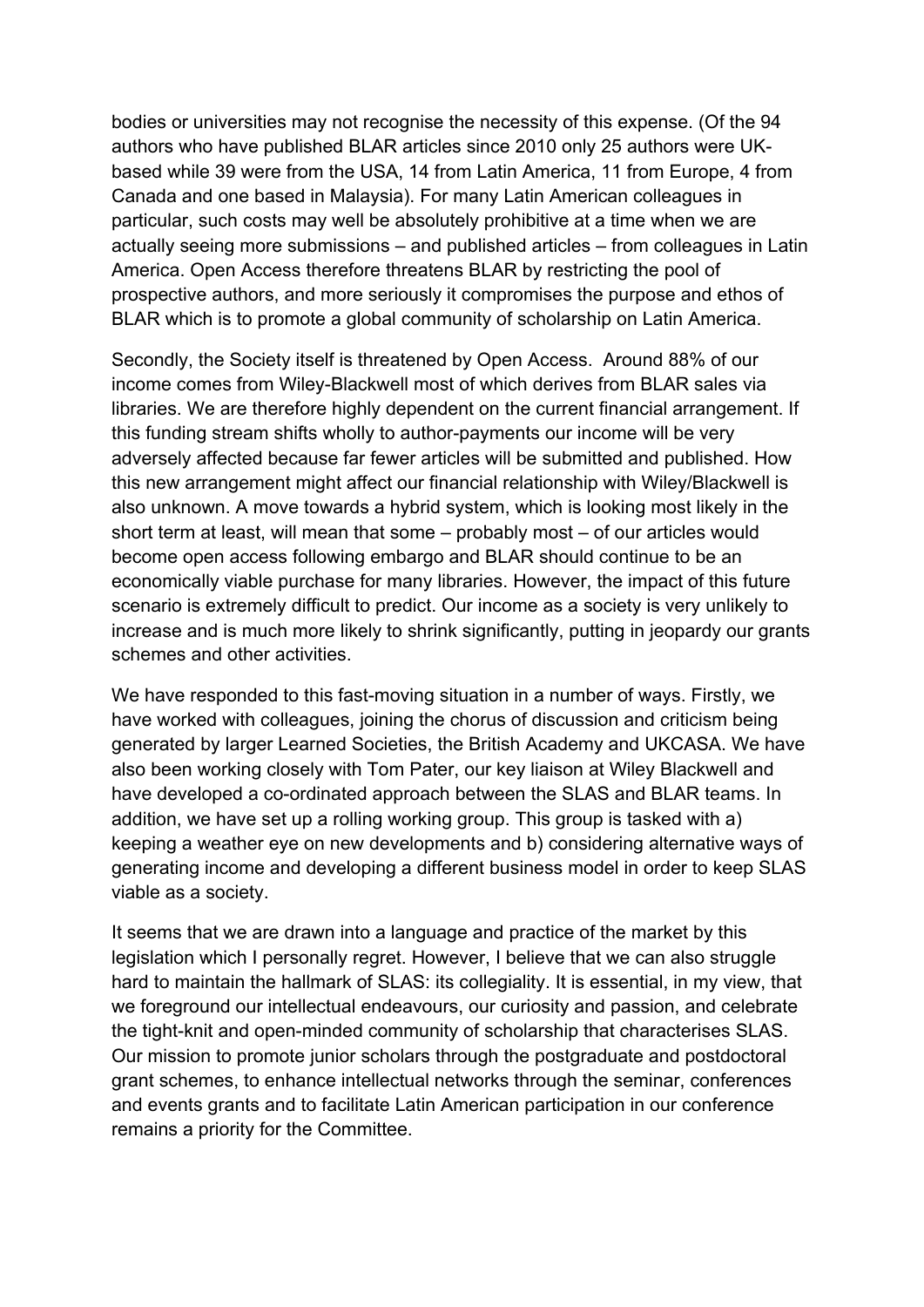bodies or universities may not recognise the necessity of this expense. (Of the 94 authors who have published BLAR articles since 2010 only 25 authors were UKbased while 39 were from the USA, 14 from Latin America, 11 from Europe, 4 from Canada and one based in Malaysia). For many Latin American colleagues in particular, such costs may well be absolutely prohibitive at a time when we are actually seeing more submissions – and published articles – from colleagues in Latin America. Open Access therefore threatens BLAR by restricting the pool of prospective authors, and more seriously it compromises the purpose and ethos of BLAR which is to promote a global community of scholarship on Latin America.

Secondly, the Society itself is threatened by Open Access. Around 88% of our income comes from Wiley-Blackwell most of which derives from BLAR sales via libraries. We are therefore highly dependent on the current financial arrangement. If this funding stream shifts wholly to author-payments our income will be very adversely affected because far fewer articles will be submitted and published. How this new arrangement might affect our financial relationship with Wiley/Blackwell is also unknown. A move towards a hybrid system, which is looking most likely in the short term at least, will mean that some – probably most – of our articles would become open access following embargo and BLAR should continue to be an economically viable purchase for many libraries. However, the impact of this future scenario is extremely difficult to predict. Our income as a society is very unlikely to increase and is much more likely to shrink significantly, putting in jeopardy our grants schemes and other activities.

We have responded to this fast-moving situation in a number of ways. Firstly, we have worked with colleagues, joining the chorus of discussion and criticism being generated by larger Learned Societies, the British Academy and UKCASA. We have also been working closely with Tom Pater, our key liaison at Wiley Blackwell and have developed a co-ordinated approach between the SLAS and BLAR teams. In addition, we have set up a rolling working group. This group is tasked with a) keeping a weather eye on new developments and b) considering alternative ways of generating income and developing a different business model in order to keep SLAS viable as a society.

It seems that we are drawn into a language and practice of the market by this legislation which I personally regret. However, I believe that we can also struggle hard to maintain the hallmark of SLAS: its collegiality. It is essential, in my view, that we foreground our intellectual endeavours, our curiosity and passion, and celebrate the tight-knit and open-minded community of scholarship that characterises SLAS. Our mission to promote junior scholars through the postgraduate and postdoctoral grant schemes, to enhance intellectual networks through the seminar, conferences and events grants and to facilitate Latin American participation in our conference remains a priority for the Committee.